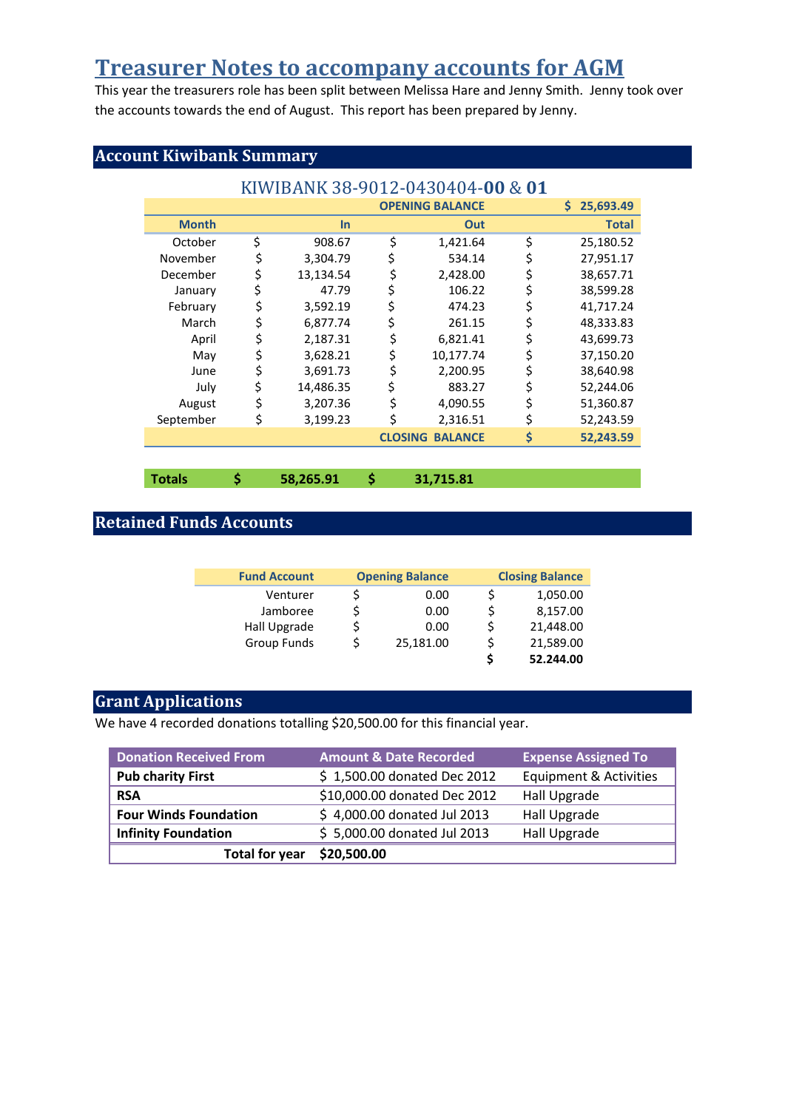# **Treasurer Notes to accompany accounts for AGM**

This year the treasurers role has been split between Melissa Hare and Jenny Smith. Jenny took over the accounts towards the end of August. This report has been prepared by Jenny.

# **Account Kiwibank Summary**

| KIWIBANK 38-9012-0430404-00 & 01 |                        |           |    |                        |    |              |
|----------------------------------|------------------------|-----------|----|------------------------|----|--------------|
|                                  | <b>OPENING BALANCE</b> |           |    | 25,693.49<br>S.        |    |              |
| <b>Month</b>                     |                        | In        |    | Out                    |    | <b>Total</b> |
| October                          | \$                     | 908.67    | \$ | 1,421.64               | \$ | 25,180.52    |
| November                         |                        | 3,304.79  |    | 534.14                 |    | 27,951.17    |
| December                         |                        | 13,134.54 | \$ | 2,428.00               | \$ | 38,657.71    |
| January                          |                        | 47.79     |    | 106.22                 | \$ | 38,599.28    |
| February                         |                        | 3,592.19  |    | 474.23                 |    | 41,717.24    |
| March                            |                        | 6,877.74  |    | 261.15                 | \$ | 48,333.83    |
| April                            |                        | 2,187.31  |    | 6,821.41               | \$ | 43,699.73    |
| May                              | \$                     | 3,628.21  | \$ | 10,177.74              | \$ | 37,150.20    |
| June                             |                        | 3,691.73  | \$ | 2,200.95               | \$ | 38,640.98    |
| July                             |                        | 14,486.35 |    | 883.27                 |    | 52,244.06    |
| August                           |                        | 3,207.36  |    | 4,090.55               |    | 51,360.87    |
| September                        | \$                     | 3,199.23  | \$ | 2,316.51               | \$ | 52,243.59    |
|                                  |                        |           |    | <b>CLOSING BALANCE</b> | \$ | 52,243.59    |

**Totals \$ 58,265.91 \$ 31,715.81** 

# **Retained Funds Accounts**

| <b>Fund Account</b> | <b>Opening Balance</b> | <b>Closing Balance</b> |           |
|---------------------|------------------------|------------------------|-----------|
| Venturer            | 0.00                   |                        | 1,050.00  |
| Jamboree            | 0.00                   |                        | 8,157.00  |
| Hall Upgrade        | 0.00                   |                        | 21,448.00 |
| Group Funds         | 25,181.00              |                        | 21,589.00 |
|                     |                        |                        | 52.244.00 |

# **Grant Applications**

We have 4 recorded donations totalling \$20,500.00 for this financial year.

| <b>Donation Received From</b> | <b>Amount &amp; Date Recorded</b> | <b>Expense Assigned To</b> |
|-------------------------------|-----------------------------------|----------------------------|
| <b>Pub charity First</b>      | \$1,500.00 donated Dec 2012       | Equipment & Activities     |
| <b>RSA</b>                    | \$10,000.00 donated Dec 2012      | Hall Upgrade               |
| <b>Four Winds Foundation</b>  | \$4,000.00 donated Jul 2013       | Hall Upgrade               |
| <b>Infinity Foundation</b>    | \$5,000.00 donated Jul 2013       | Hall Upgrade               |
| <b>Total for year</b>         | \$20,500.00                       |                            |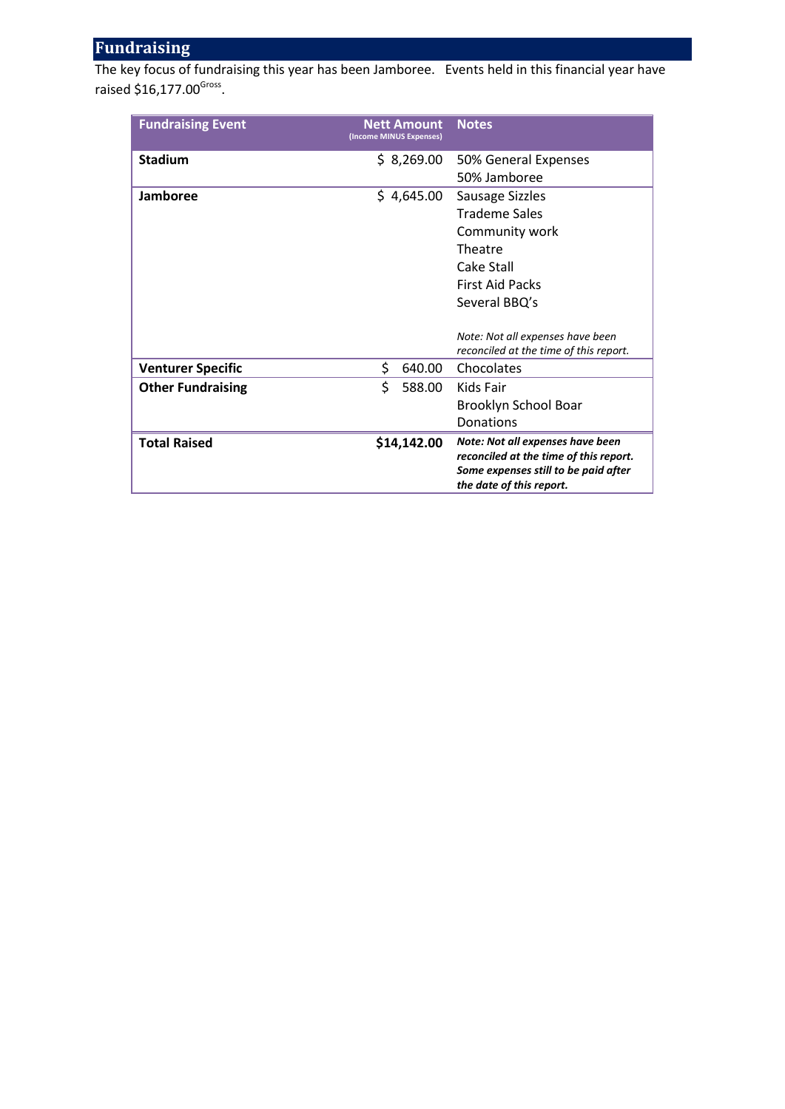## **Fundraising**

The key focus of fundraising this year has been Jamboree. Events held in this financial year have raised \$16,177.00<sup>Gross</sup>.

| <b>Fundraising Event</b> | <b>Nett Amount</b><br>(Income MINUS Expenses) | <b>Notes</b>                           |
|--------------------------|-----------------------------------------------|----------------------------------------|
| <b>Stadium</b>           | \$8,269.00                                    | 50% General Expenses                   |
|                          |                                               | 50% Jamboree                           |
| Jamboree                 | \$4,645.00                                    | <b>Sausage Sizzles</b>                 |
|                          |                                               | <b>Trademe Sales</b>                   |
|                          |                                               | Community work                         |
|                          |                                               | Theatre                                |
|                          |                                               | Cake Stall                             |
|                          |                                               | <b>First Aid Packs</b>                 |
|                          |                                               | Several BBQ's                          |
|                          |                                               |                                        |
|                          |                                               | Note: Not all expenses have been       |
|                          |                                               | reconciled at the time of this report. |
| <b>Venturer Specific</b> | \$<br>640.00                                  | Chocolates                             |
| <b>Other Fundraising</b> | \$<br>588.00                                  | Kids Fair                              |
|                          |                                               | Brooklyn School Boar                   |
|                          |                                               | Donations                              |
| <b>Total Raised</b>      | \$14,142.00                                   | Note: Not all expenses have been       |
|                          |                                               | reconciled at the time of this report. |
|                          |                                               | Some expenses still to be paid after   |
|                          |                                               | the date of this report.               |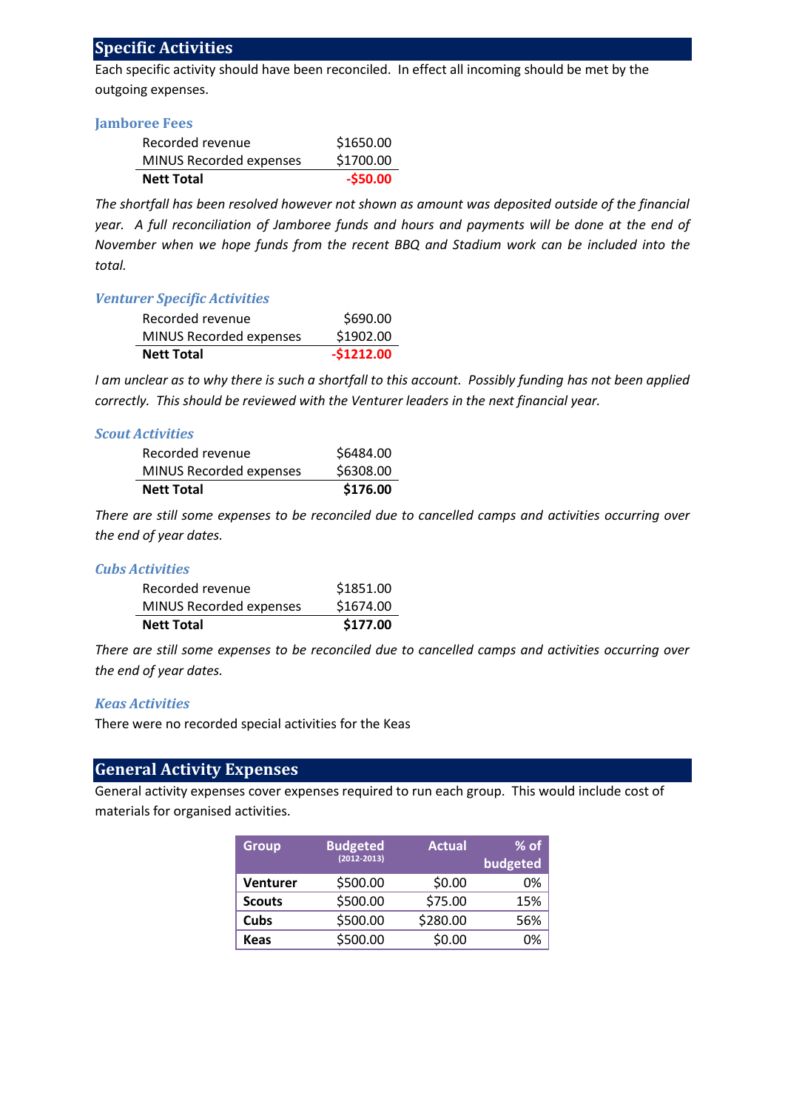## **Specific Activities**

Each specific activity should have been reconciled. In effect all incoming should be met by the outgoing expenses.

#### **Jamboree Fees**

| Recorded revenue        | \$1650.00 |
|-------------------------|-----------|
| MINUS Recorded expenses | \$1700.00 |
| <b>Nett Total</b>       | $-550.00$ |

*The shortfall has been resolved however not shown as amount was deposited outside of the financial year. A full reconciliation of Jamboree funds and hours and payments will be done at the end of November when we hope funds from the recent BBQ and Stadium work can be included into the total.* 

#### *Venturer Specific Activities*

| Recorded revenue        | \$690.00    |
|-------------------------|-------------|
| MINUS Recorded expenses | \$1902.00   |
| <b>Nett Total</b>       | $-51212.00$ |

*I am unclear as to why there is such a shortfall to this account. Possibly funding has not been applied correctly. This should be reviewed with the Venturer leaders in the next financial year.* 

#### *Scout Activities*

| <b>Nett Total</b>       | \$176.00  |
|-------------------------|-----------|
| MINUS Recorded expenses | \$6308.00 |
| Recorded revenue        | \$6484.00 |

*There are still some expenses to be reconciled due to cancelled camps and activities occurring over the end of year dates.* 

#### *Cubs Activities*

| <b>Nett Total</b>       | \$177.00  |
|-------------------------|-----------|
| MINUS Recorded expenses | \$1674.00 |
| Recorded revenue        | \$1851.00 |

*There are still some expenses to be reconciled due to cancelled camps and activities occurring over the end of year dates.* 

#### *Keas Activities*

There were no recorded special activities for the Keas

### **General Activity Expenses**

General activity expenses cover expenses required to run each group. This would include cost of materials for organised activities.

| <b>Group</b>    | <b>Budgeted</b> | <b>Actual</b> | $%$ of   |
|-----------------|-----------------|---------------|----------|
|                 | $(2012 - 2013)$ |               | budgeted |
| <b>Venturer</b> | \$500.00        | \$0.00        | 0%       |
| <b>Scouts</b>   | \$500.00        | \$75.00       | 15%      |
| Cubs            | \$500.00        | \$280.00      | 56%      |
| <b>Keas</b>     | \$500.00        | \$0.00        | በ%       |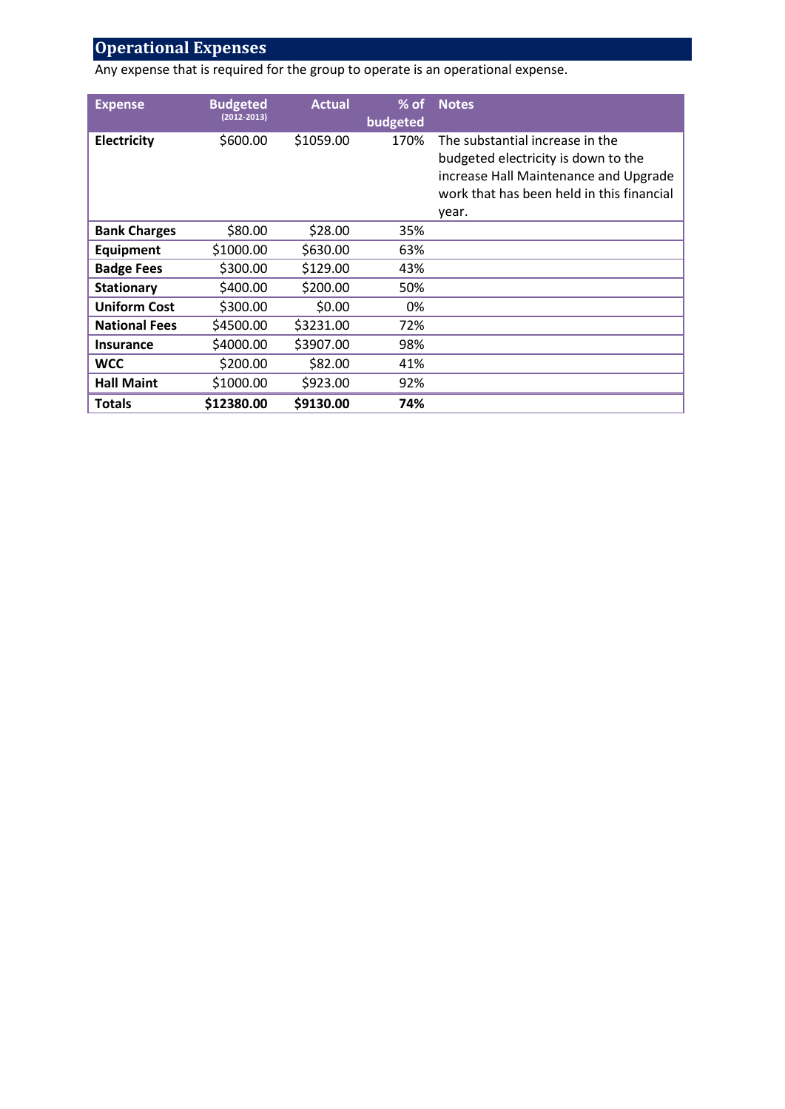# **Operational Expenses**

Any expense that is required for the group to operate is an operational expense.

| <b>Expense</b>       | <b>Budgeted</b><br>$(2012 - 2013)$ | <b>Actual</b> | $%$ of<br>budgeted | <b>Notes</b>                                                                                                                                                          |
|----------------------|------------------------------------|---------------|--------------------|-----------------------------------------------------------------------------------------------------------------------------------------------------------------------|
| Electricity          | \$600.00                           | \$1059.00     | 170%               | The substantial increase in the<br>budgeted electricity is down to the<br>increase Hall Maintenance and Upgrade<br>work that has been held in this financial<br>year. |
| <b>Bank Charges</b>  | \$80.00                            | \$28.00       | 35%                |                                                                                                                                                                       |
| <b>Equipment</b>     | \$1000.00                          | \$630.00      | 63%                |                                                                                                                                                                       |
| <b>Badge Fees</b>    | \$300.00                           | \$129.00      | 43%                |                                                                                                                                                                       |
| <b>Stationary</b>    | \$400.00                           | \$200.00      | 50%                |                                                                                                                                                                       |
| <b>Uniform Cost</b>  | \$300.00                           | \$0.00        | 0%                 |                                                                                                                                                                       |
| <b>National Fees</b> | \$4500.00                          | \$3231.00     | 72%                |                                                                                                                                                                       |
| <b>Insurance</b>     | \$4000.00                          | \$3907.00     | 98%                |                                                                                                                                                                       |
| <b>WCC</b>           | \$200.00                           | \$82.00       | 41%                |                                                                                                                                                                       |
| <b>Hall Maint</b>    | \$1000.00                          | \$923.00      | 92%                |                                                                                                                                                                       |
| Totals               | \$12380.00                         | \$9130.00     | 74%                |                                                                                                                                                                       |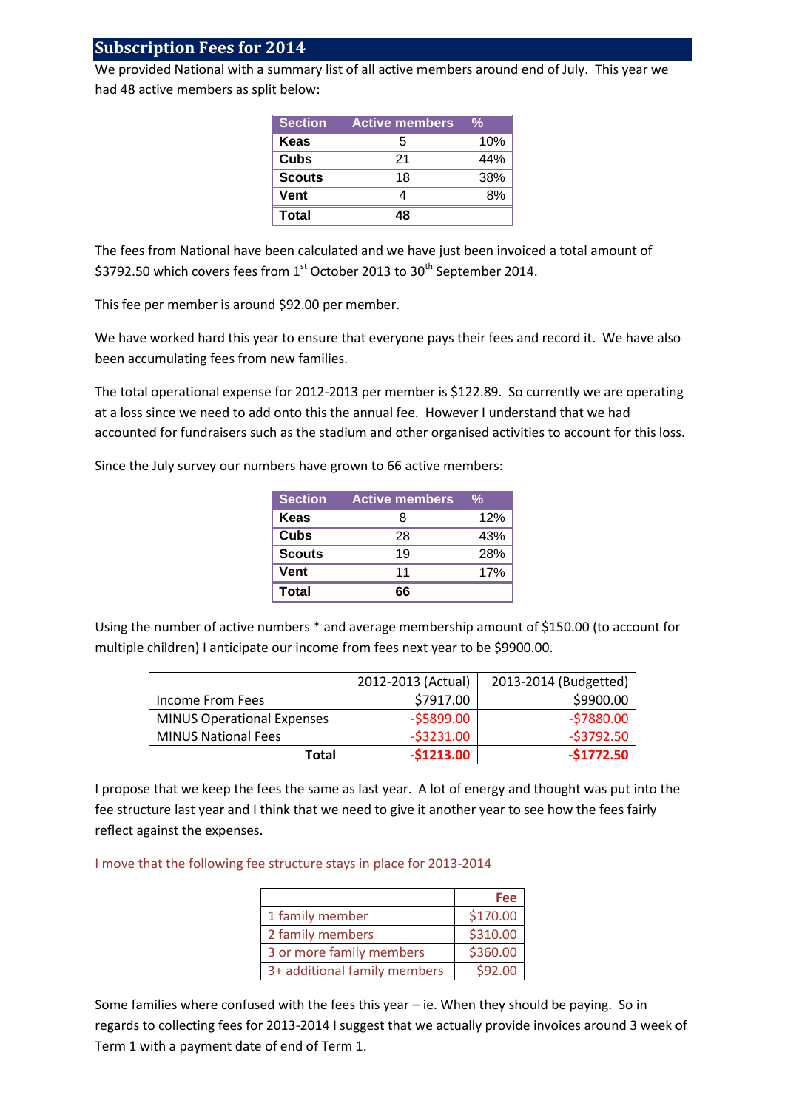## **Subscription Fees for 2014**

We provided National with a summary list of all active members around end of July. This year we had 48 active members as split below:

| <b>Section</b> | <b>Active members</b> | %   |
|----------------|-----------------------|-----|
| Keas           | 5                     | 10% |
| Cubs           | 21                    | 44% |
| <b>Scouts</b>  | 18                    | 38% |
| <b>Vent</b>    |                       | 8%  |
| Total          |                       |     |

The fees from National have been calculated and we have just been invoiced a total amount of \$3792.50 which covers fees from 1<sup>st</sup> October 2013 to 30<sup>th</sup> September 2014.

This fee per member is around \$92.00 per member.

We have worked hard this year to ensure that everyone pays their fees and record it. We have also been accumulating fees from new families.

The total operational expense for 2012-2013 per member is \$122.89. So currently we are operating at a loss since we need to add onto this the annual fee. However I understand that we had accounted for fundraisers such as the stadium and other organised activities to account for this loss.

Since the July survey our numbers have grown to 66 active members:

| <b>Section</b> | <b>Active members</b> | %   |
|----------------|-----------------------|-----|
| Keas           | 8                     | 12% |
| Cubs           | 28                    | 43% |
| <b>Scouts</b>  | 19                    | 28% |
| Vent           | 11                    | 17% |
| Total          | 66                    |     |

Using the number of active numbers \* and average membership amount of \$150.00 (to account for multiple children) I anticipate our income from fees next year to be \$9900.00.

|                                   | 2012-2013 (Actual) | 2013-2014 (Budgetted) |
|-----------------------------------|--------------------|-----------------------|
| Income From Fees                  | \$7917.00          | \$9900.00             |
| <b>MINUS Operational Expenses</b> | $-55899.00$        | $-57880.00$           |
| <b>MINUS National Fees</b>        | $-53231.00$        | $-53792.50$           |
| Total                             | $-51213.00$        | $-51772.50$           |

I propose that we keep the fees the same as last year. A lot of energy and thought was put into the fee structure last year and I think that we need to give it another year to see how the fees fairly reflect against the expenses.

I move that the following fee structure stays in place for 2013-2014

|                              | Fee      |
|------------------------------|----------|
| 1 family member              | \$170.00 |
| 2 family members             | \$310.00 |
| 3 or more family members     | \$360.00 |
| 3+ additional family members | \$92.00  |

Some families where confused with the fees this year – ie. When they should be paying. So in regards to collecting fees for 2013-2014 I suggest that we actually provide invoices around 3 week of Term 1 with a payment date of end of Term 1.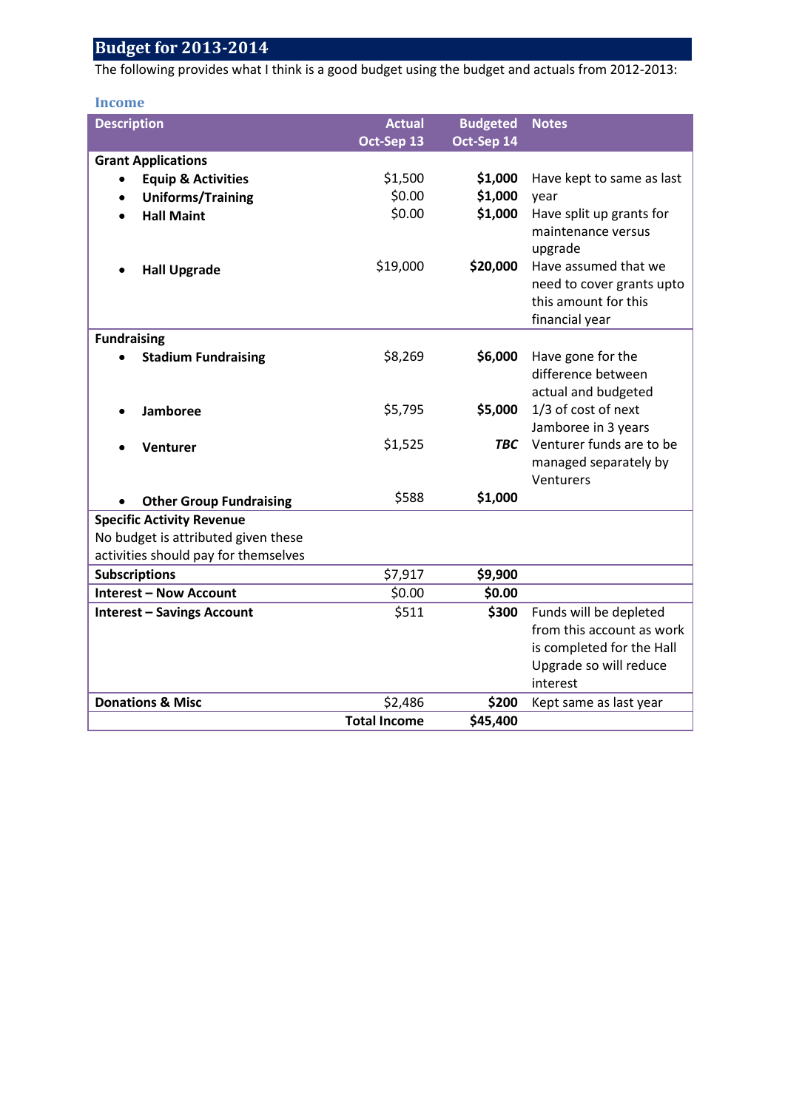# **Budget for 2013-2014**

The following provides what I think is a good budget using the budget and actuals from 2012-2013:

# **Income**

| <b>Description</b>                   | <b>Actual</b>       | <b>Budgeted</b> | <b>Notes</b>                                                                                                           |
|--------------------------------------|---------------------|-----------------|------------------------------------------------------------------------------------------------------------------------|
|                                      | Oct-Sep 13          | Oct-Sep 14      |                                                                                                                        |
| <b>Grant Applications</b>            |                     |                 |                                                                                                                        |
| <b>Equip &amp; Activities</b>        | \$1,500             | \$1,000         | Have kept to same as last                                                                                              |
| <b>Uniforms/Training</b>             | \$0.00              | \$1,000         | year                                                                                                                   |
| <b>Hall Maint</b>                    | \$0.00              | \$1,000         | Have split up grants for<br>maintenance versus<br>upgrade                                                              |
| <b>Hall Upgrade</b>                  | \$19,000            | \$20,000        | Have assumed that we<br>need to cover grants upto<br>this amount for this<br>financial year                            |
| <b>Fundraising</b>                   |                     |                 |                                                                                                                        |
| <b>Stadium Fundraising</b>           | \$8,269             | \$6,000         | Have gone for the<br>difference between<br>actual and budgeted                                                         |
| Jamboree                             | \$5,795             | \$5,000         | 1/3 of cost of next<br>Jamboree in 3 years                                                                             |
| Venturer                             | \$1,525             | <b>TBC</b>      | Venturer funds are to be<br>managed separately by<br>Venturers                                                         |
| <b>Other Group Fundraising</b>       | \$588               | \$1,000         |                                                                                                                        |
| <b>Specific Activity Revenue</b>     |                     |                 |                                                                                                                        |
| No budget is attributed given these  |                     |                 |                                                                                                                        |
| activities should pay for themselves |                     |                 |                                                                                                                        |
| <b>Subscriptions</b>                 | \$7,917             | \$9,900         |                                                                                                                        |
| <b>Interest - Now Account</b>        | \$0.00              | \$0.00          |                                                                                                                        |
| <b>Interest - Savings Account</b>    | \$511               | \$300           | Funds will be depleted<br>from this account as work<br>is completed for the Hall<br>Upgrade so will reduce<br>interest |
| <b>Donations &amp; Misc</b>          | \$2,486             | \$200           | Kept same as last year                                                                                                 |
|                                      | <b>Total Income</b> | \$45,400        |                                                                                                                        |